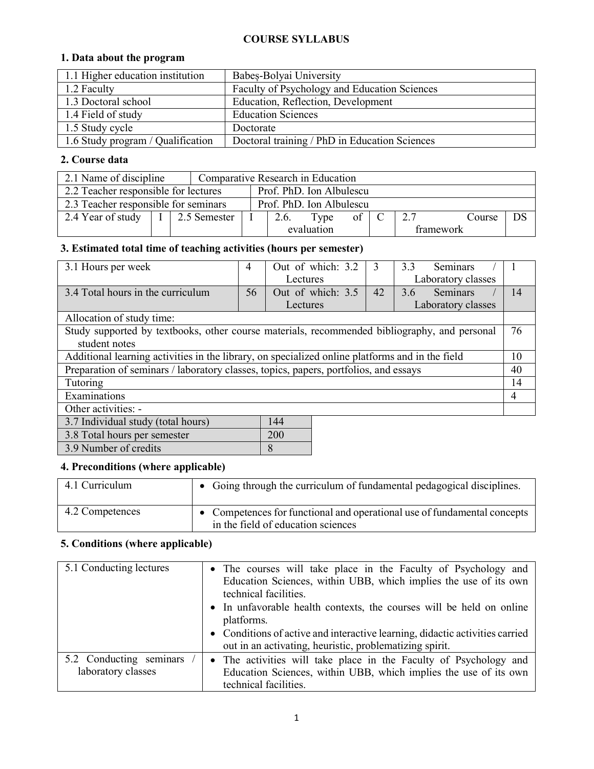#### **COURSE SYLLABUS**

#### **1. Data about the program**

| 1.1 Higher education institution  | Babes-Bolyai University                       |
|-----------------------------------|-----------------------------------------------|
| 1.2 Faculty                       | Faculty of Psychology and Education Sciences  |
| 1.3 Doctoral school               | Education, Reflection, Development            |
| 1.4 Field of study                | <b>Education Sciences</b>                     |
| 1.5 Study cycle                   | Doctorate                                     |
| 1.6 Study program / Qualification | Doctoral training / PhD in Education Sciences |

### **2. Course data**

| 2.1 Name of discipline                                           |                                                                  |              | Comparative Research in Education        |                         |  |  |  |
|------------------------------------------------------------------|------------------------------------------------------------------|--------------|------------------------------------------|-------------------------|--|--|--|
|                                                                  | 2.2 Teacher responsible for lectures<br>Prof. PhD. Ion Albulescu |              |                                          |                         |  |  |  |
| 2.3 Teacher responsible for seminars<br>Prof. PhD. Ion Albulescu |                                                                  |              |                                          |                         |  |  |  |
| 2.4 Year of study                                                |                                                                  | 2.5 Semester | 27<br>DS<br>Type<br>2.6.<br>Course<br>ot |                         |  |  |  |
|                                                                  |                                                                  |              |                                          | evaluation<br>framework |  |  |  |

## **3. Estimated total time of teaching activities (hours per semester)**

| 3.1 Hours per week                                                                              | 4  | Out of which: 3.2 | 3  | 3.3<br><b>Seminars</b> |    |
|-------------------------------------------------------------------------------------------------|----|-------------------|----|------------------------|----|
|                                                                                                 |    | Lectures          |    | Laboratory classes     |    |
| 3.4 Total hours in the curriculum                                                               | 56 | Out of which: 3.5 | 42 | Seminars<br>3.6        | 14 |
|                                                                                                 |    | Lectures          |    | Laboratory classes     |    |
| Allocation of study time:                                                                       |    |                   |    |                        |    |
| Study supported by textbooks, other course materials, recommended bibliography, and personal    |    |                   |    |                        | 76 |
| student notes                                                                                   |    |                   |    |                        |    |
| Additional learning activities in the library, on specialized online platforms and in the field |    |                   |    |                        |    |
| Preparation of seminars / laboratory classes, topics, papers, portfolios, and essays            |    |                   |    |                        |    |
| Tutoring                                                                                        |    |                   |    |                        |    |
| Examinations                                                                                    |    |                   |    |                        |    |
| Other activities: -                                                                             |    |                   |    |                        |    |
| 3.7 Individual study (total hours)<br>144                                                       |    |                   |    |                        |    |
| 3.8 Total hours per semester                                                                    |    | 200               |    |                        |    |

| $5.0$ Total hours per semester |  |
|--------------------------------|--|
| 3.9 Number of credits          |  |

### **4. Preconditions (where applicable)**

| 4.1 Curriculum  | • Going through the curriculum of fundamental pedagogical disciplines.                                         |
|-----------------|----------------------------------------------------------------------------------------------------------------|
| 4.2 Competences | • Competences for functional and operational use of fundamental concepts<br>in the field of education sciences |

### **5. Conditions (where applicable)**

| 5.1 Conducting lectures                       | • The courses will take place in the Faculty of Psychology and<br>Education Sciences, within UBB, which implies the use of its own<br>technical facilities.    |
|-----------------------------------------------|----------------------------------------------------------------------------------------------------------------------------------------------------------------|
|                                               | • In unfavorable health contexts, the courses will be held on online<br>platforms.                                                                             |
|                                               | • Conditions of active and interactive learning, didactic activities carried<br>out in an activating, heuristic, problematizing spirit.                        |
| 5.2 Conducting seminars<br>laboratory classes | • The activities will take place in the Faculty of Psychology and<br>Education Sciences, within UBB, which implies the use of its own<br>technical facilities. |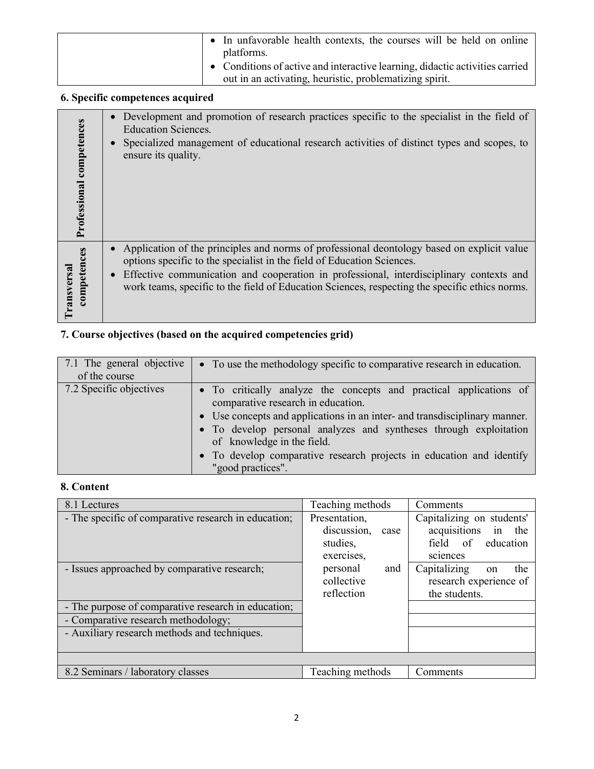| • In unfavorable health contexts, the courses will be held on online<br>platforms.                                                      |
|-----------------------------------------------------------------------------------------------------------------------------------------|
| • Conditions of active and interactive learning, didactic activities carried<br>out in an activating, heuristic, problematizing spirit. |

# **6. Specific competences acquired**

| Professional competences          | Development and promotion of research practices specific to the specialist in the field of<br><b>Education Sciences.</b><br>Specialized management of educational research activities of distinct types and scopes, to<br>ensure its quality.                                                                                                                                  |
|-----------------------------------|--------------------------------------------------------------------------------------------------------------------------------------------------------------------------------------------------------------------------------------------------------------------------------------------------------------------------------------------------------------------------------|
| competences<br><b>Transversal</b> | Application of the principles and norms of professional deontology based on explicit value<br>options specific to the specialist in the field of Education Sciences.<br>Effective communication and cooperation in professional, interdisciplinary contexts and<br>$\bullet$<br>work teams, specific to the field of Education Sciences, respecting the specific ethics norms. |

# **7. Course objectives (based on the acquired competencies grid)**

| 7.1 The general objective<br>of the course | • To use the methodology specific to comparative research in education.                                                                                                                                                                                                                                                                                                                |
|--------------------------------------------|----------------------------------------------------------------------------------------------------------------------------------------------------------------------------------------------------------------------------------------------------------------------------------------------------------------------------------------------------------------------------------------|
| 7.2 Specific objectives                    | • To critically analyze the concepts and practical applications of<br>comparative research in education.<br>• Use concepts and applications in an inter- and transdisciplinary manner.<br>• To develop personal analyzes and syntheses through exploitation<br>of knowledge in the field.<br>• To develop comparative research projects in education and identify<br>"good practices". |

# **8. Content**

| 8.1 Lectures                                         | Teaching methods    | Comments                  |
|------------------------------------------------------|---------------------|---------------------------|
| - The specific of comparative research in education; | Presentation,       | Capitalizing on students' |
|                                                      | discussion,<br>case | acquisitions<br>in the    |
|                                                      | studies,            | field of education        |
|                                                      | exercises,          | sciences                  |
| - Issues approached by comparative research;         | personal<br>and     | Capitalizing<br>the<br>on |
|                                                      | collective          | research experience of    |
|                                                      | reflection          | the students.             |
| - The purpose of comparative research in education;  |                     |                           |
| - Comparative research methodology;                  |                     |                           |
| - Auxiliary research methods and techniques.         |                     |                           |
|                                                      |                     |                           |
|                                                      |                     |                           |
| 8.2 Seminars / laboratory classes                    | Teaching methods    | Comments                  |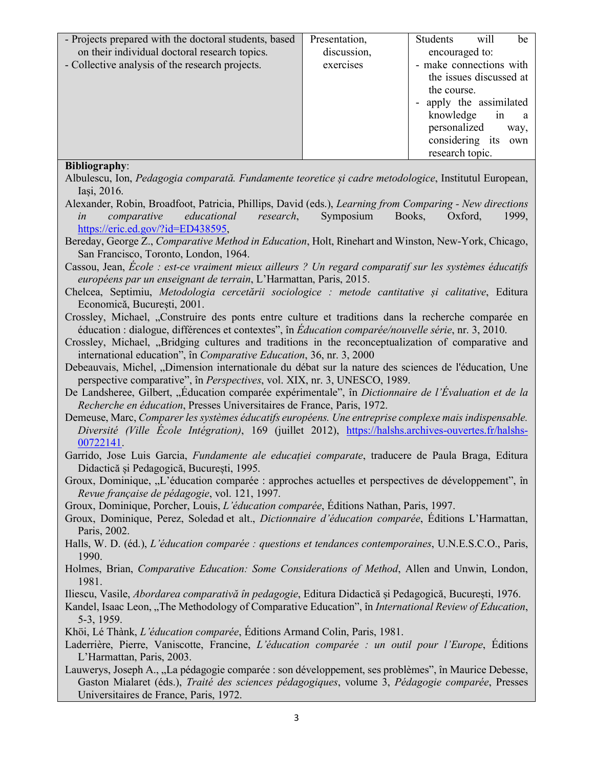| - Projects prepared with the doctoral students, based | Presentation, | Students                | will                    | be           |
|-------------------------------------------------------|---------------|-------------------------|-------------------------|--------------|
| on their individual doctoral research topics.         | discussion,   | encouraged to:          |                         |              |
| - Collective analysis of the research projects.       | exercises     | - make connections with |                         |              |
|                                                       |               |                         | the issues discussed at |              |
|                                                       |               | the course.             |                         |              |
|                                                       |               | apply the assimilated   |                         |              |
|                                                       |               | knowledge               | in                      | <sub>a</sub> |
|                                                       |               | personalized            |                         | way,         |
|                                                       |               | considering its         |                         | own          |
|                                                       |               | research topic.         |                         |              |
| <b>Bibliography:</b>                                  |               |                         |                         |              |

Albulescu, Ion, *Pedagogia comparată. Fundamente teoretice și cadre metodologice*, Institutul European, Iași, 2016.

Alexander, Robin, Broadfoot, Patricia, Phillips, David (eds.), *Learning from Comparing - New directions in comparative educational research*, Symposium Books, Oxford, 1999, https://eric.ed.gov/?id=ED438595,

Bereday, George Z., *Comparative Method in Education*, Holt, Rinehart and Winston, New-York, Chicago, San Francisco, Toronto, London, 1964.

Cassou, Jean, *École : est-ce vraiment mieux ailleurs ? Un regard comparatif sur les systèmes éducatifs européens par un enseignant de terrain*, L'Harmattan, Paris, 2015.

Chelcea, Septimiu, *Metodologia cercetării sociologice : metode cantitative și calitative*, Editura Economică, București, 2001.

Crossley, Michael, "Construire des ponts entre culture et traditions dans la recherche comparée en éducation : dialogue, différences et contextes", în *Éducation comparée/nouvelle série*, nr. 3, 2010.

- Crossley, Michael, "Bridging cultures and traditions in the reconceptualization of comparative and international education", în *Comparative Education*, 36, nr. 3, 2000
- Debeauvais, Michel, "Dimension internationale du débat sur la nature des sciences de l'éducation, Une perspective comparative", în *Perspectives*, vol. XIX, nr. 3, UNESCO, 1989.

De Landsheree, Gilbert, "Éducation comparée expérimentale", în *Dictionnaire de l'Évaluation et de la Recherche en éducation*, Presses Universitaires de France, Paris, 1972.

Demeuse, Marc, *Comparer les systèmes éducatifs européens. Une entreprise complexe mais indispensable. Diversité (Ville École Intégration)*, 169 (juillet 2012), https://halshs.archives-ouvertes.fr/halshs-00722141.

Garrido, Jose Luis Garcia, *Fundamente ale educației comparate*, traducere de Paula Braga, Editura Didactică și Pedagogică, București, 1995.

Groux, Dominique, "L'éducation comparée : approches actuelles et perspectives de développement", în *Revue française de pédagogie*, vol. 121, 1997.

Groux, Dominique, Porcher, Louis, *L'éducation comparée*, Éditions Nathan, Paris, 1997.

Groux, Dominique, Perez, Soledad et alt., *Dictionnaire d'éducation comparée*, Éditions L'Harmattan, Paris, 2002.

Halls, W. D. (éd.), *L'éducation comparée : questions et tendances contemporaines*, U.N.E.S.C.O., Paris, 1990.

Holmes, Brian, *Comparative Education: Some Considerations of Method*, Allen and Unwin, London, 1981.

Iliescu, Vasile, *Abordarea comparativă în pedagogie*, Editura Didactică și Pedagogică, București, 1976.

Kandel, Isaac Leon, "The Methodology of Comparative Education", în *International Review of Education*, 5-3, 1959.

Khöi, Lé Thànk, *L'éducation comparée*, Éditions Armand Colin, Paris, 1981.

Laderrière, Pierre, Vaniscotte, Francine, *L'éducation comparée : un outil pour l'Europe*, Éditions L'Harmattan, Paris, 2003.

Lauwerys, Joseph A., "La pédagogie comparée : son développement, ses problèmes", în Maurice Debesse, Gaston Mialaret (éds.), *Traité des sciences pédagogiques*, volume 3, *Pédagogie comparée*, Presses Universitaires de France, Paris, 1972.